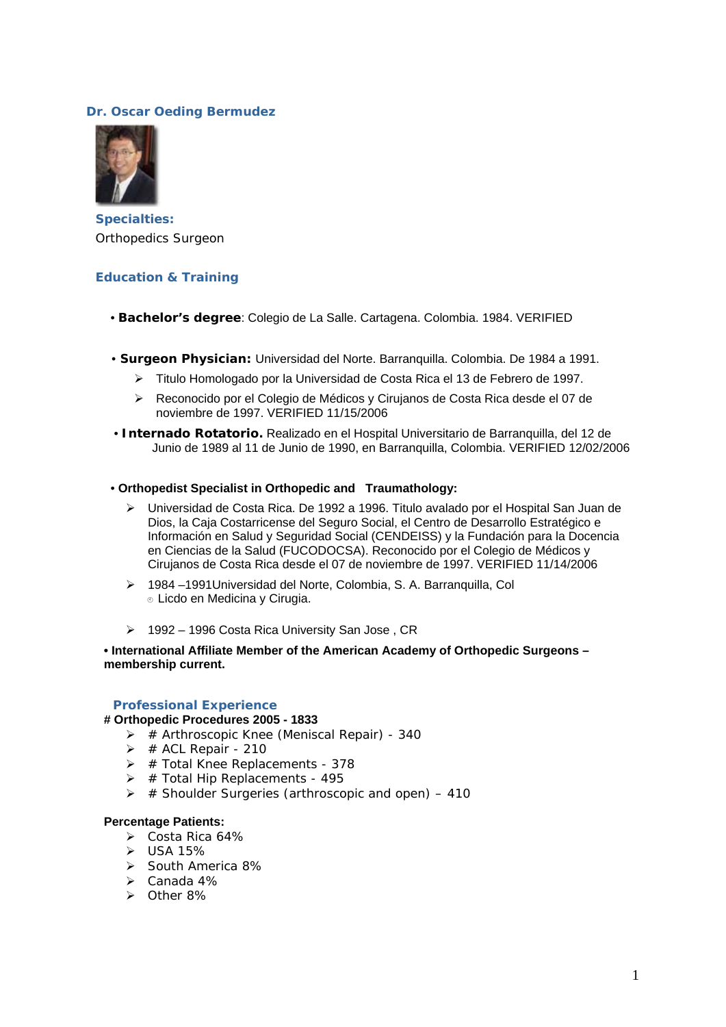## **Dr. Oscar Oeding Bermudez**



**Specialties:** Orthopedics Surgeon

### **Education & Training**

- **Bachelor's degree**: Colegio de La Salle. Cartagena. Colombia. 1984. VERIFIED
- • **Surgeon Physician:** Universidad del Norte. Barranquilla. Colombia. De 1984 a 1991.
	- ¾ Titulo Homologado por la Universidad de Costa Rica el 13 de Febrero de 1997.
	- ¾ Reconocido por el Colegio de Médicos y Cirujanos de Costa Rica desde el 07 de noviembre de 1997. VERIFIED 11/15/2006
- **Internado Rotatorio.** Realizado en el Hospital Universitario de Barranquilla, del 12 de Junio de 1989 al 11 de Junio de 1990, en Barranquilla, Colombia. VERIFIED 12/02/2006
- **Orthopedist Specialist in Orthopedic and Traumathology:**
	- ¾ Universidad de Costa Rica. De 1992 a 1996. Titulo avalado por el Hospital San Juan de Dios, la Caja Costarricense del Seguro Social, el Centro de Desarrollo Estratégico e Información en Salud y Seguridad Social (CENDEISS) y la Fundación para la Docencia en Ciencias de la Salud (FUCODOCSA). Reconocido por el Colegio de Médicos y Cirujanos de Costa Rica desde el 07 de noviembre de 1997. VERIFIED 11/14/2006
	- ¾ 1984 –1991Universidad del Norte, Colombia, S. A. Barranquilla, Col **■ Licdo en Medicina y Cirugia.**
	- ¾ 1992 1996 Costa Rica University San Jose , CR

### **• International Affiliate Member of the American Academy of Orthopedic Surgeons – membership current.**

### **Professional Experience**

#### **# Orthopedic Procedures 2005 - 1833**

- $\triangleright$  # Arthroscopic Knee (Meniscal Repair) 340
- $\triangleright$  # ACL Repair 210
- $\triangleright$  # Total Knee Replacements 378
- $\triangleright$  # Total Hip Replacements 495
- $\triangleright$  # Shoulder Surgeries (arthroscopic and open) 410

### **Percentage Patients:**

- ¾ Costa Rica 64%
- $\triangleright$  USA 15%
- ¾ South America 8%
- $\triangleright$  Canada 4%
- ¾ Other 8%